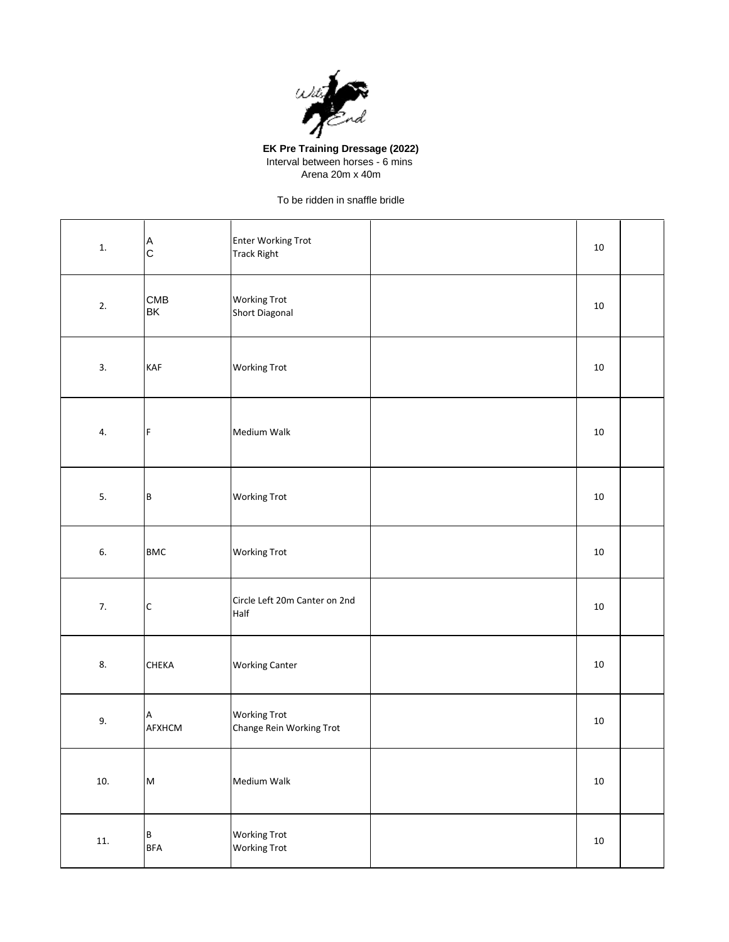

**EK Pre Training Dressage (2022)** Interval between horses - 6 mins Arena 20m x 40m

To be ridden in snaffle bridle

| ${\bf 1}.$ | A<br>$\mathsf C$                                                                                           | <b>Enter Working Trot</b><br><b>Track Right</b> | 10     |  |
|------------|------------------------------------------------------------------------------------------------------------|-------------------------------------------------|--------|--|
| 2.         | CMB<br>BK                                                                                                  | <b>Working Trot</b><br>Short Diagonal           | 10     |  |
| 3.         | <b>KAF</b>                                                                                                 | <b>Working Trot</b>                             | $10\,$ |  |
| 4.         | F                                                                                                          | Medium Walk                                     | 10     |  |
| 5.         | B                                                                                                          | <b>Working Trot</b>                             | 10     |  |
| 6.         | <b>BMC</b>                                                                                                 | <b>Working Trot</b>                             | 10     |  |
| 7.         | $\mathsf C$                                                                                                | Circle Left 20m Canter on 2nd<br>Half           | 10     |  |
| 8.         | CHEKA                                                                                                      | <b>Working Canter</b>                           | 10     |  |
| 9.         | А<br>AFXHCM                                                                                                | <b>Working Trot</b><br>Change Rein Working Trot | 10     |  |
| 10.        | $\mathsf{M}% _{T}=\mathsf{M}_{T}\!\left( a,b\right) ,\ \mathsf{M}_{T}=\mathsf{M}_{T}\!\left( a,b\right) ,$ | Medium Walk                                     | $10\,$ |  |
| 11.        | $\, {\bf B}$<br><b>BFA</b>                                                                                 | <b>Working Trot</b><br><b>Working Trot</b>      | $10\,$ |  |